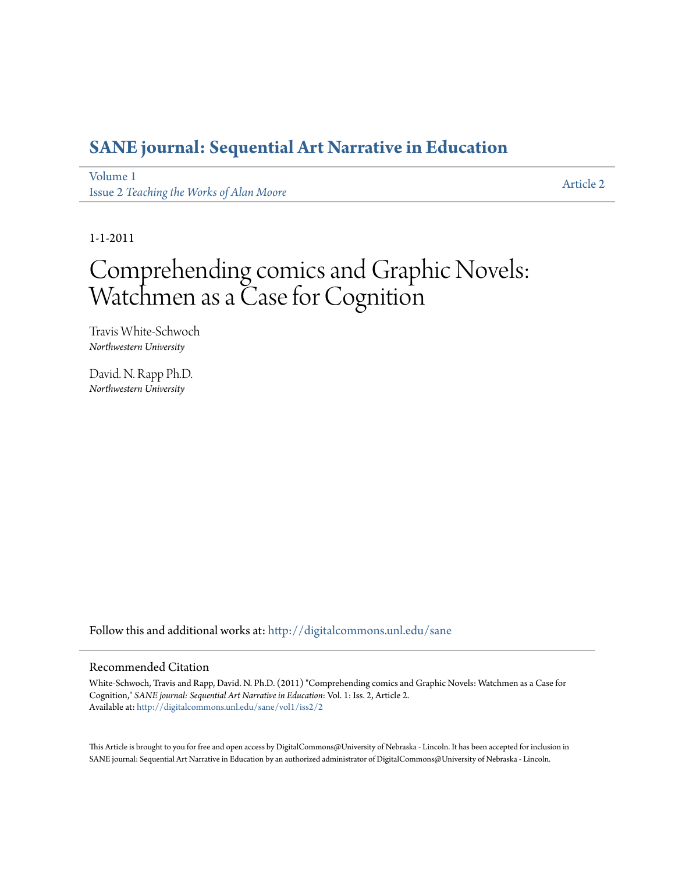## **[SANE journal: Sequential Art Narrative in Education](http://digitalcommons.unl.edu/sane?utm_source=digitalcommons.unl.edu%2Fsane%2Fvol1%2Fiss2%2F2&utm_medium=PDF&utm_campaign=PDFCoverPages)**

[Volume 1](http://digitalcommons.unl.edu/sane/vol1?utm_source=digitalcommons.unl.edu%2Fsane%2Fvol1%2Fiss2%2F2&utm_medium=PDF&utm_campaign=PDFCoverPages) Issue 2 *[Teaching the Works of Alan Moore](http://digitalcommons.unl.edu/sane/vol1/iss2?utm_source=digitalcommons.unl.edu%2Fsane%2Fvol1%2Fiss2%2F2&utm_medium=PDF&utm_campaign=PDFCoverPages)*

[Article 2](http://digitalcommons.unl.edu/sane/vol1/iss2/2?utm_source=digitalcommons.unl.edu%2Fsane%2Fvol1%2Fiss2%2F2&utm_medium=PDF&utm_campaign=PDFCoverPages)

1-1-2011

# Comprehending comics and Graphic Novels: Watchmen as a Case for Cognition

Travis White-Schwoch *Northwestern University*

David. N. Rapp Ph.D. *Northwestern University*

Follow this and additional works at: [http://digitalcommons.unl.edu/sane](http://digitalcommons.unl.edu/sane?utm_source=digitalcommons.unl.edu%2Fsane%2Fvol1%2Fiss2%2F2&utm_medium=PDF&utm_campaign=PDFCoverPages)

#### Recommended Citation

White-Schwoch, Travis and Rapp, David. N. Ph.D. (2011) "Comprehending comics and Graphic Novels: Watchmen as a Case for Cognition," *SANE journal: Sequential Art Narrative in Education*: Vol. 1: Iss. 2, Article 2. Available at: [http://digitalcommons.unl.edu/sane/vol1/iss2/2](http://digitalcommons.unl.edu/sane/vol1/iss2/2?utm_source=digitalcommons.unl.edu%2Fsane%2Fvol1%2Fiss2%2F2&utm_medium=PDF&utm_campaign=PDFCoverPages)

This Article is brought to you for free and open access by DigitalCommons@University of Nebraska - Lincoln. It has been accepted for inclusion in SANE journal: Sequential Art Narrative in Education by an authorized administrator of DigitalCommons@University of Nebraska - Lincoln.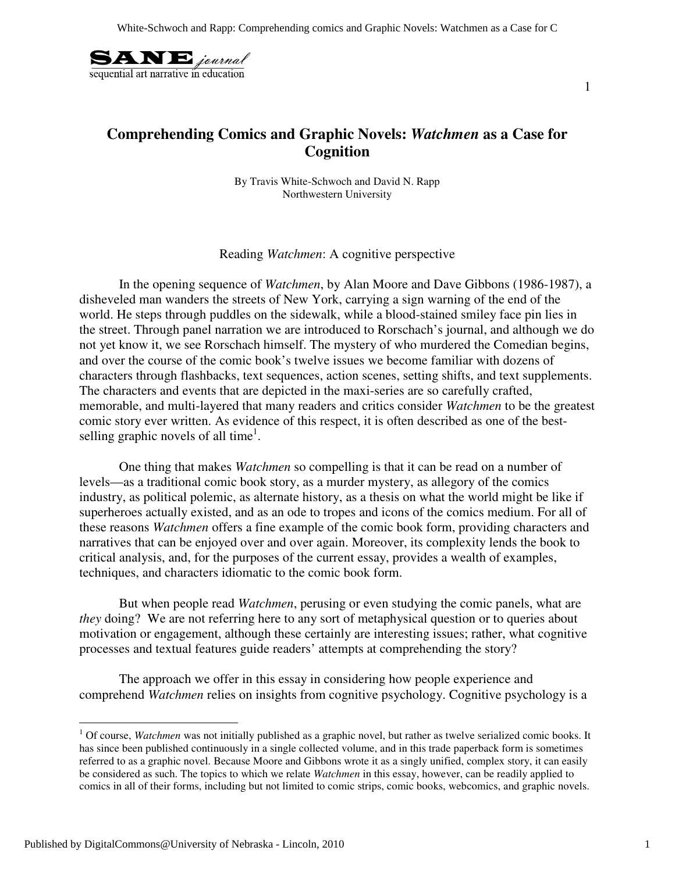

### **Comprehending Comics and Graphic Novels:** *Watchmen* **as a Case for Cognition**

By Travis White-Schwoch and David N. Rapp Northwestern University

Reading *Watchmen*: A cognitive perspective

In the opening sequence of *Watchmen*, by Alan Moore and Dave Gibbons (1986-1987), a disheveled man wanders the streets of New York, carrying a sign warning of the end of the world. He steps through puddles on the sidewalk, while a blood-stained smiley face pin lies in the street. Through panel narration we are introduced to Rorschach's journal, and although we do not yet know it, we see Rorschach himself. The mystery of who murdered the Comedian begins, and over the course of the comic book's twelve issues we become familiar with dozens of characters through flashbacks, text sequences, action scenes, setting shifts, and text supplements. The characters and events that are depicted in the maxi-series are so carefully crafted, memorable, and multi-layered that many readers and critics consider *Watchmen* to be the greatest comic story ever written. As evidence of this respect, it is often described as one of the bestselling graphic novels of all time<sup>1</sup>.

 One thing that makes *Watchmen* so compelling is that it can be read on a number of levels—as a traditional comic book story, as a murder mystery, as allegory of the comics industry, as political polemic, as alternate history, as a thesis on what the world might be like if superheroes actually existed, and as an ode to tropes and icons of the comics medium. For all of these reasons *Watchmen* offers a fine example of the comic book form, providing characters and narratives that can be enjoyed over and over again. Moreover, its complexity lends the book to critical analysis, and, for the purposes of the current essay, provides a wealth of examples, techniques, and characters idiomatic to the comic book form.

But when people read *Watchmen*, perusing or even studying the comic panels, what are *they* doing? We are not referring here to any sort of metaphysical question or to queries about motivation or engagement, although these certainly are interesting issues; rather, what cognitive processes and textual features guide readers' attempts at comprehending the story?

The approach we offer in this essay in considering how people experience and comprehend *Watchmen* relies on insights from cognitive psychology. Cognitive psychology is a

 $\overline{a}$ 

<sup>&</sup>lt;sup>1</sup> Of course, *Watchmen* was not initially published as a graphic novel, but rather as twelve serialized comic books. It has since been published continuously in a single collected volume, and in this trade paperback form is sometimes referred to as a graphic novel. Because Moore and Gibbons wrote it as a singly unified, complex story, it can easily be considered as such. The topics to which we relate *Watchmen* in this essay, however, can be readily applied to comics in all of their forms, including but not limited to comic strips, comic books, webcomics, and graphic novels.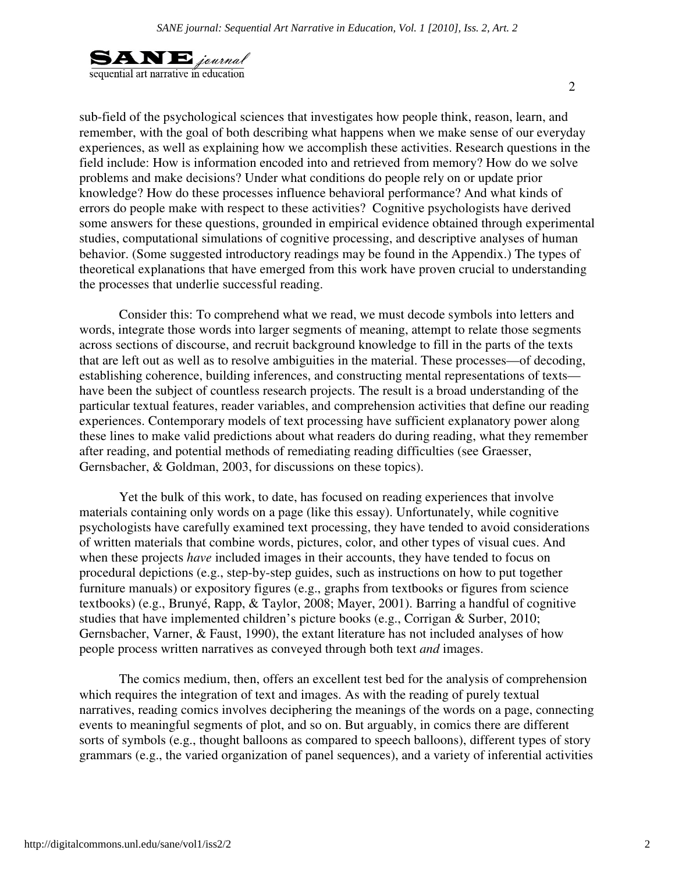

sub-field of the psychological sciences that investigates how people think, reason, learn, and remember, with the goal of both describing what happens when we make sense of our everyday experiences, as well as explaining how we accomplish these activities. Research questions in the field include: How is information encoded into and retrieved from memory? How do we solve problems and make decisions? Under what conditions do people rely on or update prior knowledge? How do these processes influence behavioral performance? And what kinds of errors do people make with respect to these activities? Cognitive psychologists have derived some answers for these questions, grounded in empirical evidence obtained through experimental studies, computational simulations of cognitive processing, and descriptive analyses of human behavior. (Some suggested introductory readings may be found in the Appendix.) The types of theoretical explanations that have emerged from this work have proven crucial to understanding the processes that underlie successful reading.

Consider this: To comprehend what we read, we must decode symbols into letters and words, integrate those words into larger segments of meaning, attempt to relate those segments across sections of discourse, and recruit background knowledge to fill in the parts of the texts that are left out as well as to resolve ambiguities in the material. These processes—of decoding, establishing coherence, building inferences, and constructing mental representations of texts have been the subject of countless research projects. The result is a broad understanding of the particular textual features, reader variables, and comprehension activities that define our reading experiences. Contemporary models of text processing have sufficient explanatory power along these lines to make valid predictions about what readers do during reading, what they remember after reading, and potential methods of remediating reading difficulties (see Graesser, Gernsbacher, & Goldman, 2003, for discussions on these topics).

Yet the bulk of this work, to date, has focused on reading experiences that involve materials containing only words on a page (like this essay). Unfortunately, while cognitive psychologists have carefully examined text processing, they have tended to avoid considerations of written materials that combine words, pictures, color, and other types of visual cues. And when these projects *have* included images in their accounts, they have tended to focus on procedural depictions (e.g., step-by-step guides, such as instructions on how to put together furniture manuals) or expository figures (e.g., graphs from textbooks or figures from science textbooks) (e.g., Brunyé, Rapp, & Taylor, 2008; Mayer, 2001). Barring a handful of cognitive studies that have implemented children's picture books (e.g., Corrigan & Surber, 2010; Gernsbacher, Varner, & Faust, 1990), the extant literature has not included analyses of how people process written narratives as conveyed through both text *and* images.

The comics medium, then, offers an excellent test bed for the analysis of comprehension which requires the integration of text and images. As with the reading of purely textual narratives, reading comics involves deciphering the meanings of the words on a page, connecting events to meaningful segments of plot, and so on. But arguably, in comics there are different sorts of symbols (e.g., thought balloons as compared to speech balloons), different types of story grammars (e.g., the varied organization of panel sequences), and a variety of inferential activities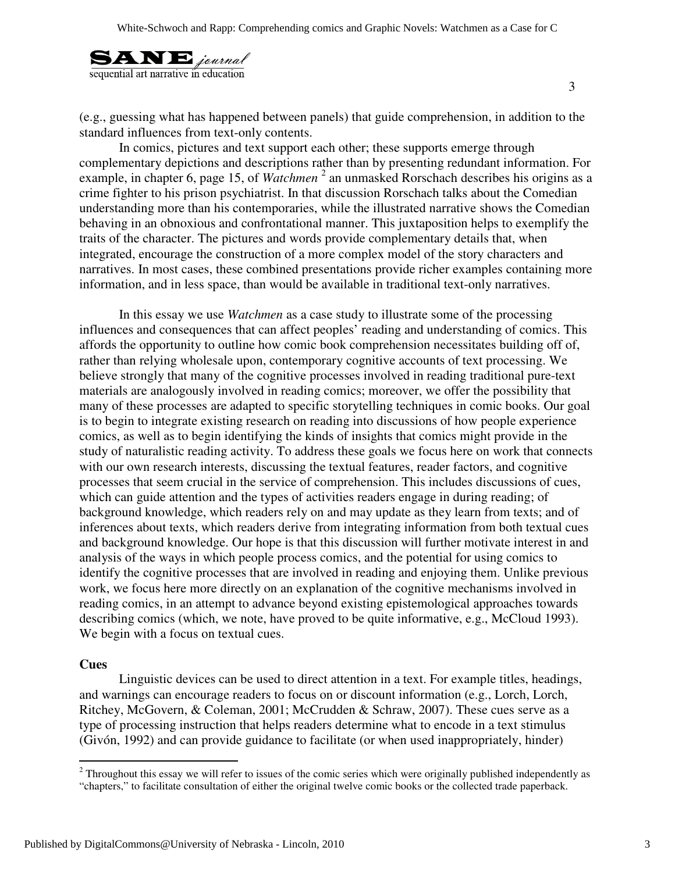

(e.g., guessing what has happened between panels) that guide comprehension, in addition to the standard influences from text-only contents.

In comics, pictures and text support each other; these supports emerge through complementary depictions and descriptions rather than by presenting redundant information. For example, in chapter 6, page 15, of *Watchmen*<sup>2</sup> an unmasked Rorschach describes his origins as a crime fighter to his prison psychiatrist. In that discussion Rorschach talks about the Comedian understanding more than his contemporaries, while the illustrated narrative shows the Comedian behaving in an obnoxious and confrontational manner. This juxtaposition helps to exemplify the traits of the character. The pictures and words provide complementary details that, when integrated, encourage the construction of a more complex model of the story characters and narratives. In most cases, these combined presentations provide richer examples containing more information, and in less space, than would be available in traditional text-only narratives.

In this essay we use *Watchmen* as a case study to illustrate some of the processing influences and consequences that can affect peoples' reading and understanding of comics. This affords the opportunity to outline how comic book comprehension necessitates building off of, rather than relying wholesale upon, contemporary cognitive accounts of text processing. We believe strongly that many of the cognitive processes involved in reading traditional pure-text materials are analogously involved in reading comics; moreover, we offer the possibility that many of these processes are adapted to specific storytelling techniques in comic books. Our goal is to begin to integrate existing research on reading into discussions of how people experience comics, as well as to begin identifying the kinds of insights that comics might provide in the study of naturalistic reading activity. To address these goals we focus here on work that connects with our own research interests, discussing the textual features, reader factors, and cognitive processes that seem crucial in the service of comprehension. This includes discussions of cues, which can guide attention and the types of activities readers engage in during reading; of background knowledge, which readers rely on and may update as they learn from texts; and of inferences about texts, which readers derive from integrating information from both textual cues and background knowledge. Our hope is that this discussion will further motivate interest in and analysis of the ways in which people process comics, and the potential for using comics to identify the cognitive processes that are involved in reading and enjoying them. Unlike previous work, we focus here more directly on an explanation of the cognitive mechanisms involved in reading comics, in an attempt to advance beyond existing epistemological approaches towards describing comics (which, we note, have proved to be quite informative, e.g., McCloud 1993). We begin with a focus on textual cues.

#### **Cues**

Linguistic devices can be used to direct attention in a text. For example titles, headings, and warnings can encourage readers to focus on or discount information (e.g., Lorch, Lorch, Ritchey, McGovern, & Coleman, 2001; McCrudden & Schraw, 2007). These cues serve as a type of processing instruction that helps readers determine what to encode in a text stimulus (Givón, 1992) and can provide guidance to facilitate (or when used inappropriately, hinder)

<sup>&</sup>lt;sup>2</sup> Throughout this essay we will refer to issues of the comic series which were originally published independently as "chapters," to facilitate consultation of either the original twelve comic books or the collected trade paperback.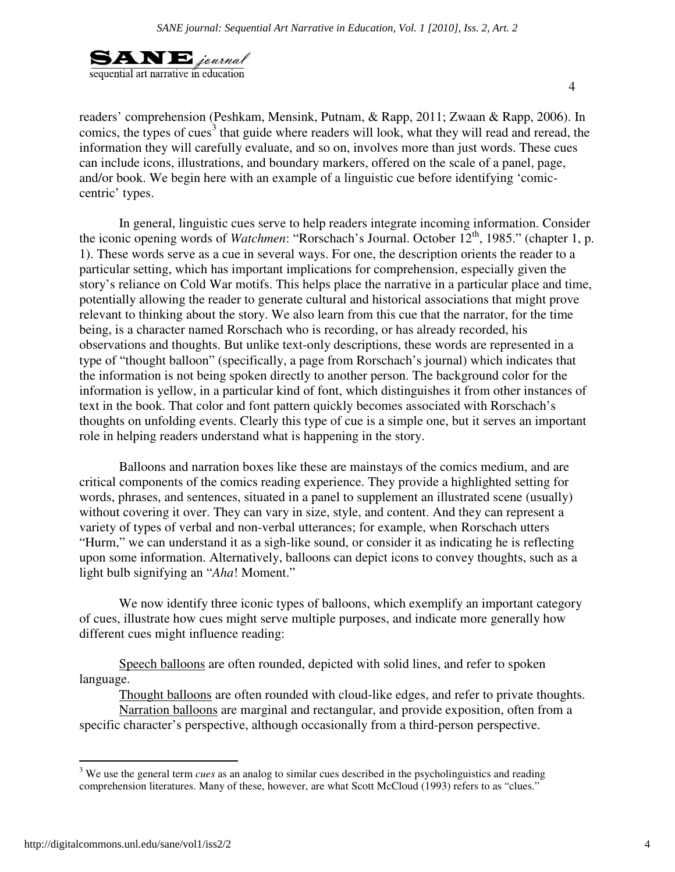

readers' comprehension (Peshkam, Mensink, Putnam, & Rapp, 2011; Zwaan & Rapp, 2006). In comics, the types of cues<sup>3</sup> that guide where readers will look, what they will read and reread, the information they will carefully evaluate, and so on, involves more than just words. These cues can include icons, illustrations, and boundary markers, offered on the scale of a panel, page, and/or book. We begin here with an example of a linguistic cue before identifying 'comiccentric' types.

In general, linguistic cues serve to help readers integrate incoming information. Consider the iconic opening words of *Watchmen*: "Rorschach's Journal. October 12<sup>th</sup>, 1985." (chapter 1, p. 1). These words serve as a cue in several ways. For one, the description orients the reader to a particular setting, which has important implications for comprehension, especially given the story's reliance on Cold War motifs. This helps place the narrative in a particular place and time, potentially allowing the reader to generate cultural and historical associations that might prove relevant to thinking about the story. We also learn from this cue that the narrator, for the time being, is a character named Rorschach who is recording, or has already recorded, his observations and thoughts. But unlike text-only descriptions, these words are represented in a type of "thought balloon" (specifically, a page from Rorschach's journal) which indicates that the information is not being spoken directly to another person. The background color for the information is yellow, in a particular kind of font, which distinguishes it from other instances of text in the book. That color and font pattern quickly becomes associated with Rorschach's thoughts on unfolding events. Clearly this type of cue is a simple one, but it serves an important role in helping readers understand what is happening in the story.

Balloons and narration boxes like these are mainstays of the comics medium, and are critical components of the comics reading experience. They provide a highlighted setting for words, phrases, and sentences, situated in a panel to supplement an illustrated scene (usually) without covering it over. They can vary in size, style, and content. And they can represent a variety of types of verbal and non-verbal utterances; for example, when Rorschach utters "Hurm," we can understand it as a sigh-like sound, or consider it as indicating he is reflecting upon some information. Alternatively, balloons can depict icons to convey thoughts, such as a light bulb signifying an "*Aha*! Moment."

We now identify three iconic types of balloons, which exemplify an important category of cues, illustrate how cues might serve multiple purposes, and indicate more generally how different cues might influence reading:

Speech balloons are often rounded, depicted with solid lines, and refer to spoken language.

Thought balloons are often rounded with cloud-like edges, and refer to private thoughts.

Narration balloons are marginal and rectangular, and provide exposition, often from a specific character's perspective, although occasionally from a third-person perspective.

<sup>&</sup>lt;sup>3</sup> We use the general term *cues* as an analog to similar cues described in the psycholinguistics and reading comprehension literatures. Many of these, however, are what Scott McCloud (1993) refers to as "clues."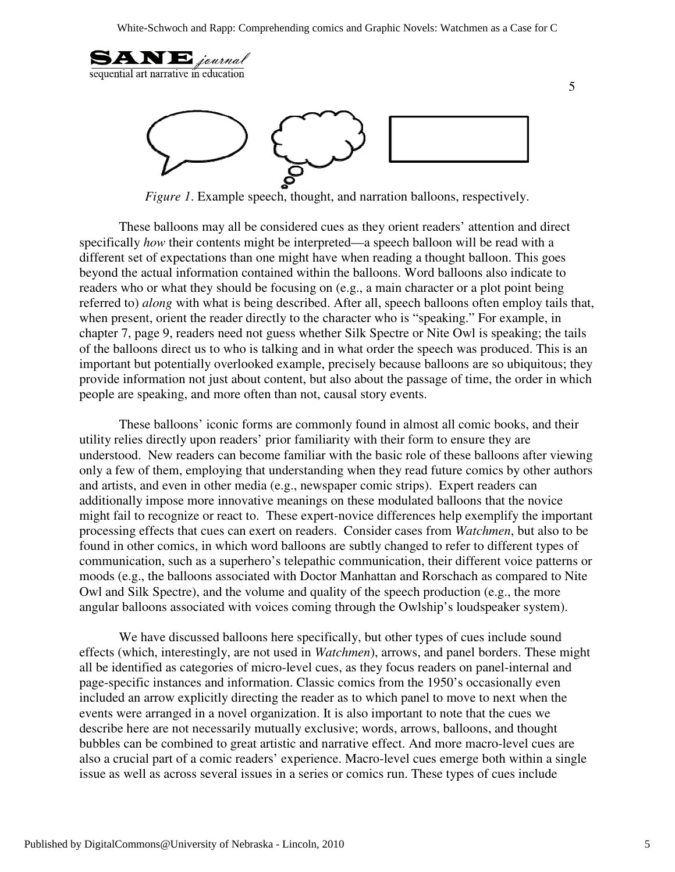

*Figure 1*. Example speech, thought, and narration balloons, respectively.

These balloons may all be considered cues as they orient readers' attention and direct specifically *how* their contents might be interpreted—a speech balloon will be read with a different set of expectations than one might have when reading a thought balloon. This goes beyond the actual information contained within the balloons. Word balloons also indicate to readers who or what they should be focusing on (e.g., a main character or a plot point being referred to) *along* with what is being described. After all, speech balloons often employ tails that, when present, orient the reader directly to the character who is "speaking." For example, in chapter 7, page 9, readers need not guess whether Silk Spectre or Nite Owl is speaking; the tails of the balloons direct us to who is talking and in what order the speech was produced. This is an important but potentially overlooked example, precisely because balloons are so ubiquitous; they provide information not just about content, but also about the passage of time, the order in which people are speaking, and more often than not, causal story events.

These balloons' iconic forms are commonly found in almost all comic books, and their utility relies directly upon readers' prior familiarity with their form to ensure they are understood. New readers can become familiar with the basic role of these balloons after viewing only a few of them, employing that understanding when they read future comics by other authors and artists, and even in other media (e.g., newspaper comic strips). Expert readers can additionally impose more innovative meanings on these modulated balloons that the novice might fail to recognize or react to. These expert-novice differences help exemplify the important processing effects that cues can exert on readers. Consider cases from *Watchmen*, but also to be found in other comics, in which word balloons are subtly changed to refer to different types of communication, such as a superhero's telepathic communication, their different voice patterns or moods (e.g., the balloons associated with Doctor Manhattan and Rorschach as compared to Nite Owl and Silk Spectre), and the volume and quality of the speech production (e.g., the more angular balloons associated with voices coming through the Owlship's loudspeaker system).

We have discussed balloons here specifically, but other types of cues include sound effects (which, interestingly, are not used in *Watchmen*), arrows, and panel borders. These might all be identified as categories of micro-level cues, as they focus readers on panel-internal and page-specific instances and information. Classic comics from the 1950's occasionally even included an arrow explicitly directing the reader as to which panel to move to next when the events were arranged in a novel organization. It is also important to note that the cues we describe here are not necessarily mutually exclusive; words, arrows, balloons, and thought bubbles can be combined to great artistic and narrative effect. And more macro-level cues are also a crucial part of a comic readers' experience. Macro-level cues emerge both within a single issue as well as across several issues in a series or comics run. These types of cues include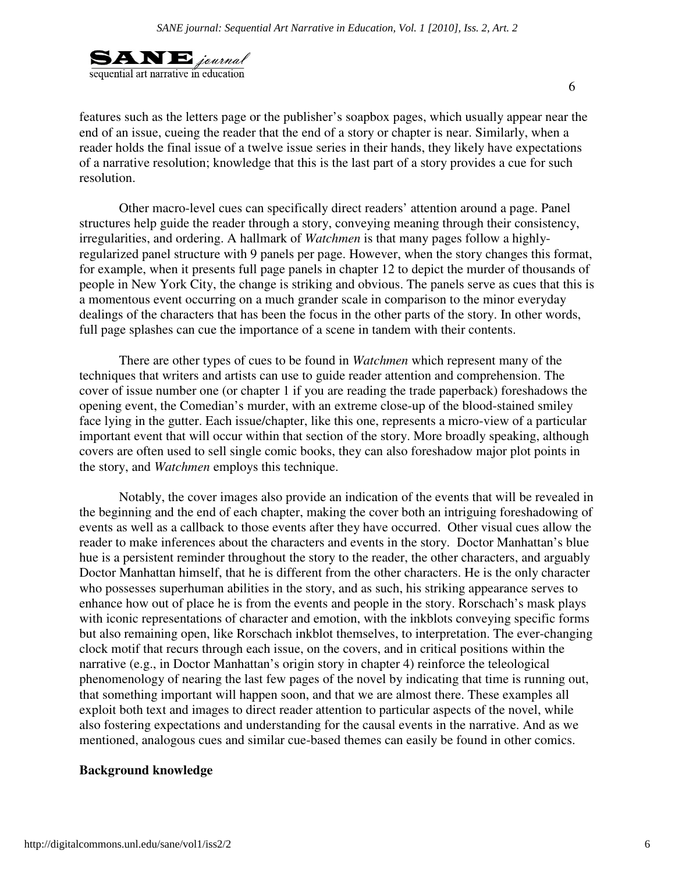

features such as the letters page or the publisher's soapbox pages, which usually appear near the end of an issue, cueing the reader that the end of a story or chapter is near. Similarly, when a reader holds the final issue of a twelve issue series in their hands, they likely have expectations of a narrative resolution; knowledge that this is the last part of a story provides a cue for such resolution.

Other macro-level cues can specifically direct readers' attention around a page. Panel structures help guide the reader through a story, conveying meaning through their consistency, irregularities, and ordering. A hallmark of *Watchmen* is that many pages follow a highlyregularized panel structure with 9 panels per page. However, when the story changes this format, for example, when it presents full page panels in chapter 12 to depict the murder of thousands of people in New York City, the change is striking and obvious. The panels serve as cues that this is a momentous event occurring on a much grander scale in comparison to the minor everyday dealings of the characters that has been the focus in the other parts of the story. In other words, full page splashes can cue the importance of a scene in tandem with their contents.

There are other types of cues to be found in *Watchmen* which represent many of the techniques that writers and artists can use to guide reader attention and comprehension. The cover of issue number one (or chapter 1 if you are reading the trade paperback) foreshadows the opening event, the Comedian's murder, with an extreme close-up of the blood-stained smiley face lying in the gutter. Each issue/chapter, like this one, represents a micro-view of a particular important event that will occur within that section of the story. More broadly speaking, although covers are often used to sell single comic books, they can also foreshadow major plot points in the story, and *Watchmen* employs this technique.

Notably, the cover images also provide an indication of the events that will be revealed in the beginning and the end of each chapter, making the cover both an intriguing foreshadowing of events as well as a callback to those events after they have occurred. Other visual cues allow the reader to make inferences about the characters and events in the story. Doctor Manhattan's blue hue is a persistent reminder throughout the story to the reader, the other characters, and arguably Doctor Manhattan himself, that he is different from the other characters. He is the only character who possesses superhuman abilities in the story, and as such, his striking appearance serves to enhance how out of place he is from the events and people in the story. Rorschach's mask plays with iconic representations of character and emotion, with the inkblots conveying specific forms but also remaining open, like Rorschach inkblot themselves, to interpretation. The ever-changing clock motif that recurs through each issue, on the covers, and in critical positions within the narrative (e.g., in Doctor Manhattan's origin story in chapter 4) reinforce the teleological phenomenology of nearing the last few pages of the novel by indicating that time is running out, that something important will happen soon, and that we are almost there. These examples all exploit both text and images to direct reader attention to particular aspects of the novel, while also fostering expectations and understanding for the causal events in the narrative. And as we mentioned, analogous cues and similar cue-based themes can easily be found in other comics.

#### **Background knowledge**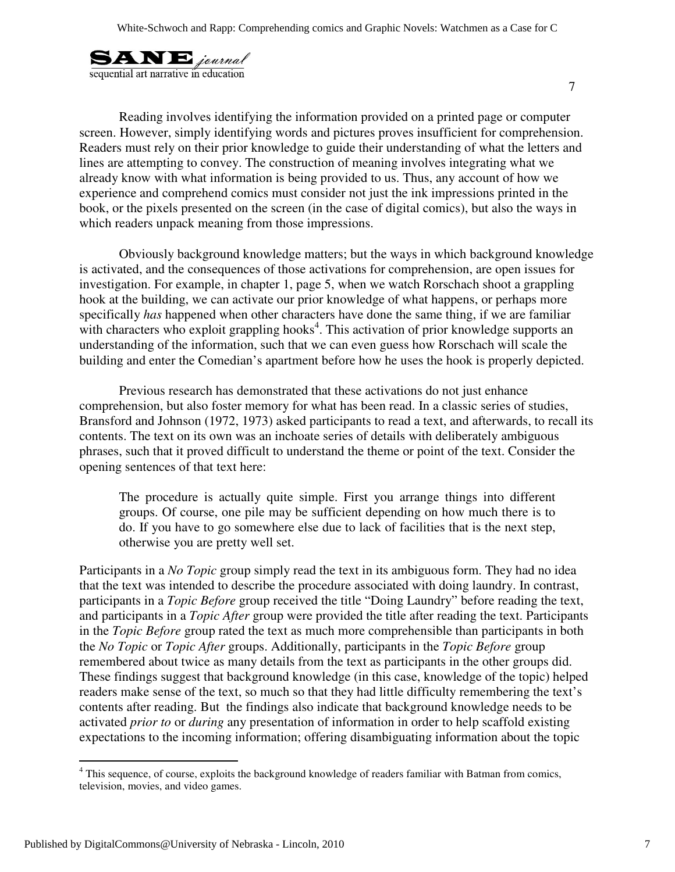

 Reading involves identifying the information provided on a printed page or computer screen. However, simply identifying words and pictures proves insufficient for comprehension. Readers must rely on their prior knowledge to guide their understanding of what the letters and lines are attempting to convey. The construction of meaning involves integrating what we already know with what information is being provided to us. Thus, any account of how we experience and comprehend comics must consider not just the ink impressions printed in the book, or the pixels presented on the screen (in the case of digital comics), but also the ways in which readers unpack meaning from those impressions.

Obviously background knowledge matters; but the ways in which background knowledge is activated, and the consequences of those activations for comprehension, are open issues for investigation. For example, in chapter 1, page 5, when we watch Rorschach shoot a grappling hook at the building, we can activate our prior knowledge of what happens, or perhaps more specifically *has* happened when other characters have done the same thing, if we are familiar with characters who exploit grappling hooks<sup>4</sup>. This activation of prior knowledge supports an understanding of the information, such that we can even guess how Rorschach will scale the building and enter the Comedian's apartment before how he uses the hook is properly depicted.

Previous research has demonstrated that these activations do not just enhance comprehension, but also foster memory for what has been read. In a classic series of studies, Bransford and Johnson (1972, 1973) asked participants to read a text, and afterwards, to recall its contents. The text on its own was an inchoate series of details with deliberately ambiguous phrases, such that it proved difficult to understand the theme or point of the text. Consider the opening sentences of that text here:

The procedure is actually quite simple. First you arrange things into different groups. Of course, one pile may be sufficient depending on how much there is to do. If you have to go somewhere else due to lack of facilities that is the next step, otherwise you are pretty well set.

Participants in a *No Topic* group simply read the text in its ambiguous form. They had no idea that the text was intended to describe the procedure associated with doing laundry. In contrast, participants in a *Topic Before* group received the title "Doing Laundry" before reading the text, and participants in a *Topic After* group were provided the title after reading the text. Participants in the *Topic Before* group rated the text as much more comprehensible than participants in both the *No Topic* or *Topic After* groups. Additionally, participants in the *Topic Before* group remembered about twice as many details from the text as participants in the other groups did. These findings suggest that background knowledge (in this case, knowledge of the topic) helped readers make sense of the text, so much so that they had little difficulty remembering the text's contents after reading. But the findings also indicate that background knowledge needs to be activated *prior to* or *during* any presentation of information in order to help scaffold existing expectations to the incoming information; offering disambiguating information about the topic

<sup>&</sup>lt;sup>4</sup> This sequence, of course, exploits the background knowledge of readers familiar with Batman from comics, television, movies, and video games.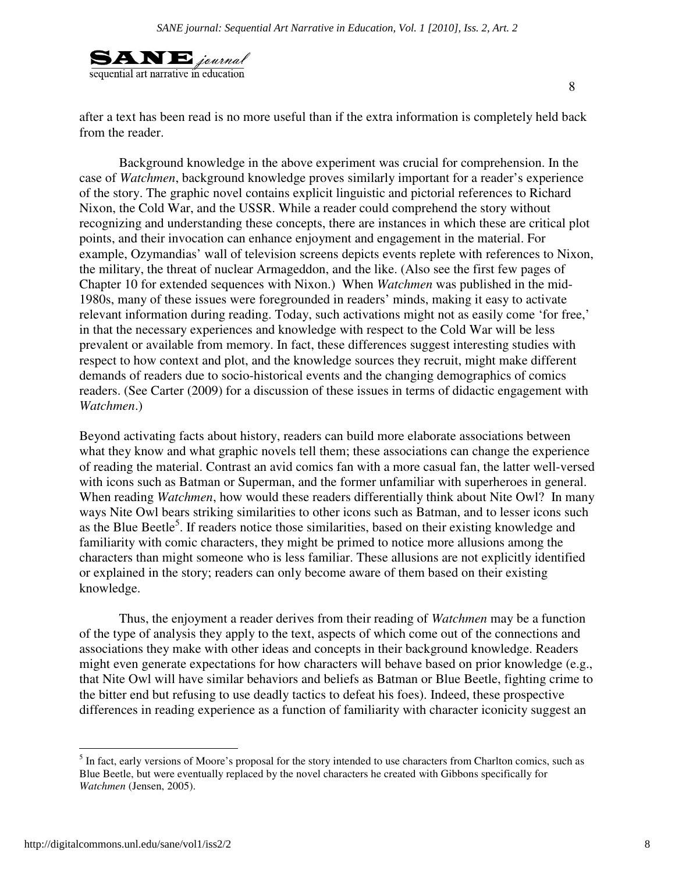

after a text has been read is no more useful than if the extra information is completely held back from the reader.

Background knowledge in the above experiment was crucial for comprehension. In the case of *Watchmen*, background knowledge proves similarly important for a reader's experience of the story. The graphic novel contains explicit linguistic and pictorial references to Richard Nixon, the Cold War, and the USSR. While a reader could comprehend the story without recognizing and understanding these concepts, there are instances in which these are critical plot points, and their invocation can enhance enjoyment and engagement in the material. For example, Ozymandias' wall of television screens depicts events replete with references to Nixon, the military, the threat of nuclear Armageddon, and the like. (Also see the first few pages of Chapter 10 for extended sequences with Nixon.) When *Watchmen* was published in the mid-1980s, many of these issues were foregrounded in readers' minds, making it easy to activate relevant information during reading. Today, such activations might not as easily come 'for free,' in that the necessary experiences and knowledge with respect to the Cold War will be less prevalent or available from memory. In fact, these differences suggest interesting studies with respect to how context and plot, and the knowledge sources they recruit, might make different demands of readers due to socio-historical events and the changing demographics of comics readers. (See Carter (2009) for a discussion of these issues in terms of didactic engagement with *Watchmen*.)

Beyond activating facts about history, readers can build more elaborate associations between what they know and what graphic novels tell them; these associations can change the experience of reading the material. Contrast an avid comics fan with a more casual fan, the latter well-versed with icons such as Batman or Superman, and the former unfamiliar with superheroes in general. When reading *Watchmen*, how would these readers differentially think about Nite Owl? In many ways Nite Owl bears striking similarities to other icons such as Batman, and to lesser icons such as the Blue Beetle<sup>5</sup>. If readers notice those similarities, based on their existing knowledge and familiarity with comic characters, they might be primed to notice more allusions among the characters than might someone who is less familiar. These allusions are not explicitly identified or explained in the story; readers can only become aware of them based on their existing knowledge.

Thus, the enjoyment a reader derives from their reading of *Watchmen* may be a function of the type of analysis they apply to the text, aspects of which come out of the connections and associations they make with other ideas and concepts in their background knowledge. Readers might even generate expectations for how characters will behave based on prior knowledge (e.g., that Nite Owl will have similar behaviors and beliefs as Batman or Blue Beetle, fighting crime to the bitter end but refusing to use deadly tactics to defeat his foes). Indeed, these prospective differences in reading experience as a function of familiarity with character iconicity suggest an

 $\overline{a}$ 

<sup>&</sup>lt;sup>5</sup> In fact, early versions of Moore's proposal for the story intended to use characters from Charlton comics, such as Blue Beetle, but were eventually replaced by the novel characters he created with Gibbons specifically for *Watchmen* (Jensen, 2005).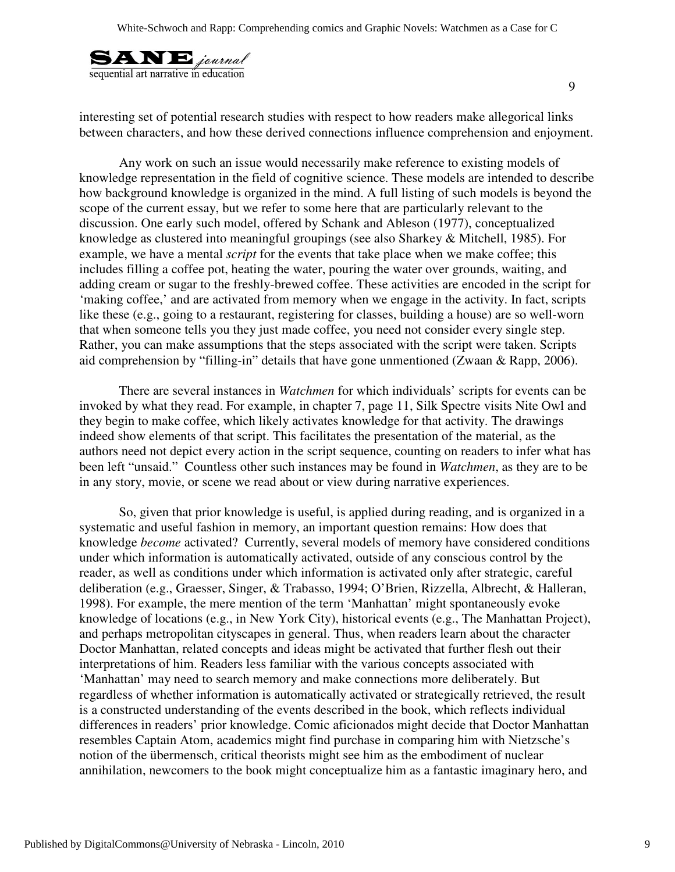

interesting set of potential research studies with respect to how readers make allegorical links between characters, and how these derived connections influence comprehension and enjoyment.

Any work on such an issue would necessarily make reference to existing models of knowledge representation in the field of cognitive science. These models are intended to describe how background knowledge is organized in the mind. A full listing of such models is beyond the scope of the current essay, but we refer to some here that are particularly relevant to the discussion. One early such model, offered by Schank and Ableson (1977), conceptualized knowledge as clustered into meaningful groupings (see also Sharkey & Mitchell, 1985). For example, we have a mental *script* for the events that take place when we make coffee; this includes filling a coffee pot, heating the water, pouring the water over grounds, waiting, and adding cream or sugar to the freshly-brewed coffee. These activities are encoded in the script for 'making coffee,' and are activated from memory when we engage in the activity. In fact, scripts like these (e.g., going to a restaurant, registering for classes, building a house) are so well-worn that when someone tells you they just made coffee, you need not consider every single step. Rather, you can make assumptions that the steps associated with the script were taken. Scripts aid comprehension by "filling-in" details that have gone unmentioned (Zwaan & Rapp, 2006).

There are several instances in *Watchmen* for which individuals' scripts for events can be invoked by what they read. For example, in chapter 7, page 11, Silk Spectre visits Nite Owl and they begin to make coffee, which likely activates knowledge for that activity. The drawings indeed show elements of that script. This facilitates the presentation of the material, as the authors need not depict every action in the script sequence, counting on readers to infer what has been left "unsaid." Countless other such instances may be found in *Watchmen*, as they are to be in any story, movie, or scene we read about or view during narrative experiences.

So, given that prior knowledge is useful, is applied during reading, and is organized in a systematic and useful fashion in memory, an important question remains: How does that knowledge *become* activated? Currently, several models of memory have considered conditions under which information is automatically activated, outside of any conscious control by the reader, as well as conditions under which information is activated only after strategic, careful deliberation (e.g., Graesser, Singer, & Trabasso, 1994; O'Brien, Rizzella, Albrecht, & Halleran, 1998). For example, the mere mention of the term 'Manhattan' might spontaneously evoke knowledge of locations (e.g., in New York City), historical events (e.g., The Manhattan Project), and perhaps metropolitan cityscapes in general. Thus, when readers learn about the character Doctor Manhattan, related concepts and ideas might be activated that further flesh out their interpretations of him. Readers less familiar with the various concepts associated with 'Manhattan' may need to search memory and make connections more deliberately. But regardless of whether information is automatically activated or strategically retrieved, the result is a constructed understanding of the events described in the book, which reflects individual differences in readers' prior knowledge. Comic aficionados might decide that Doctor Manhattan resembles Captain Atom, academics might find purchase in comparing him with Nietzsche's notion of the übermensch, critical theorists might see him as the embodiment of nuclear annihilation, newcomers to the book might conceptualize him as a fantastic imaginary hero, and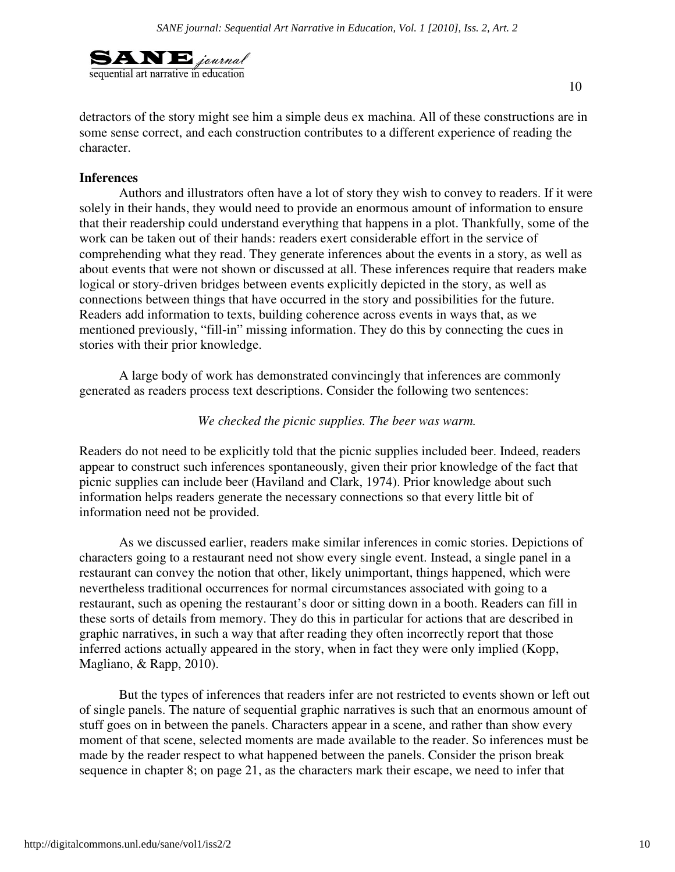

detractors of the story might see him a simple deus ex machina. All of these constructions are in some sense correct, and each construction contributes to a different experience of reading the character.

#### **Inferences**

 Authors and illustrators often have a lot of story they wish to convey to readers. If it were solely in their hands, they would need to provide an enormous amount of information to ensure that their readership could understand everything that happens in a plot. Thankfully, some of the work can be taken out of their hands: readers exert considerable effort in the service of comprehending what they read. They generate inferences about the events in a story, as well as about events that were not shown or discussed at all. These inferences require that readers make logical or story-driven bridges between events explicitly depicted in the story, as well as connections between things that have occurred in the story and possibilities for the future. Readers add information to texts, building coherence across events in ways that, as we mentioned previously, "fill-in" missing information. They do this by connecting the cues in stories with their prior knowledge.

A large body of work has demonstrated convincingly that inferences are commonly generated as readers process text descriptions. Consider the following two sentences:

#### *We checked the picnic supplies. The beer was warm.*

Readers do not need to be explicitly told that the picnic supplies included beer. Indeed, readers appear to construct such inferences spontaneously, given their prior knowledge of the fact that picnic supplies can include beer (Haviland and Clark, 1974). Prior knowledge about such information helps readers generate the necessary connections so that every little bit of information need not be provided.

As we discussed earlier, readers make similar inferences in comic stories. Depictions of characters going to a restaurant need not show every single event. Instead, a single panel in a restaurant can convey the notion that other, likely unimportant, things happened, which were nevertheless traditional occurrences for normal circumstances associated with going to a restaurant, such as opening the restaurant's door or sitting down in a booth. Readers can fill in these sorts of details from memory. They do this in particular for actions that are described in graphic narratives, in such a way that after reading they often incorrectly report that those inferred actions actually appeared in the story, when in fact they were only implied (Kopp, Magliano, & Rapp, 2010).

But the types of inferences that readers infer are not restricted to events shown or left out of single panels. The nature of sequential graphic narratives is such that an enormous amount of stuff goes on in between the panels. Characters appear in a scene, and rather than show every moment of that scene, selected moments are made available to the reader. So inferences must be made by the reader respect to what happened between the panels. Consider the prison break sequence in chapter 8; on page 21, as the characters mark their escape, we need to infer that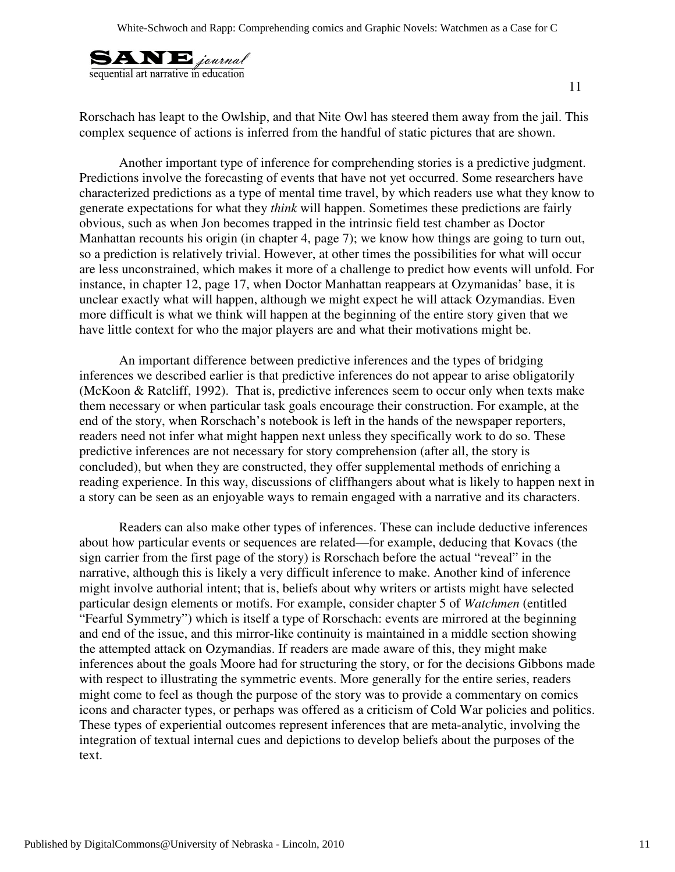

Rorschach has leapt to the Owlship, and that Nite Owl has steered them away from the jail. This complex sequence of actions is inferred from the handful of static pictures that are shown.

Another important type of inference for comprehending stories is a predictive judgment. Predictions involve the forecasting of events that have not yet occurred. Some researchers have characterized predictions as a type of mental time travel, by which readers use what they know to generate expectations for what they *think* will happen. Sometimes these predictions are fairly obvious, such as when Jon becomes trapped in the intrinsic field test chamber as Doctor Manhattan recounts his origin (in chapter 4, page 7); we know how things are going to turn out, so a prediction is relatively trivial. However, at other times the possibilities for what will occur are less unconstrained, which makes it more of a challenge to predict how events will unfold. For instance, in chapter 12, page 17, when Doctor Manhattan reappears at Ozymanidas' base, it is unclear exactly what will happen, although we might expect he will attack Ozymandias. Even more difficult is what we think will happen at the beginning of the entire story given that we have little context for who the major players are and what their motivations might be.

An important difference between predictive inferences and the types of bridging inferences we described earlier is that predictive inferences do not appear to arise obligatorily (McKoon & Ratcliff, 1992). That is, predictive inferences seem to occur only when texts make them necessary or when particular task goals encourage their construction. For example, at the end of the story, when Rorschach's notebook is left in the hands of the newspaper reporters, readers need not infer what might happen next unless they specifically work to do so. These predictive inferences are not necessary for story comprehension (after all, the story is concluded), but when they are constructed, they offer supplemental methods of enriching a reading experience. In this way, discussions of cliffhangers about what is likely to happen next in a story can be seen as an enjoyable ways to remain engaged with a narrative and its characters.

Readers can also make other types of inferences. These can include deductive inferences about how particular events or sequences are related—for example, deducing that Kovacs (the sign carrier from the first page of the story) is Rorschach before the actual "reveal" in the narrative, although this is likely a very difficult inference to make. Another kind of inference might involve authorial intent; that is, beliefs about why writers or artists might have selected particular design elements or motifs. For example, consider chapter 5 of *Watchmen* (entitled "Fearful Symmetry") which is itself a type of Rorschach: events are mirrored at the beginning and end of the issue, and this mirror-like continuity is maintained in a middle section showing the attempted attack on Ozymandias. If readers are made aware of this, they might make inferences about the goals Moore had for structuring the story, or for the decisions Gibbons made with respect to illustrating the symmetric events. More generally for the entire series, readers might come to feel as though the purpose of the story was to provide a commentary on comics icons and character types, or perhaps was offered as a criticism of Cold War policies and politics. These types of experiential outcomes represent inferences that are meta-analytic, involving the integration of textual internal cues and depictions to develop beliefs about the purposes of the text.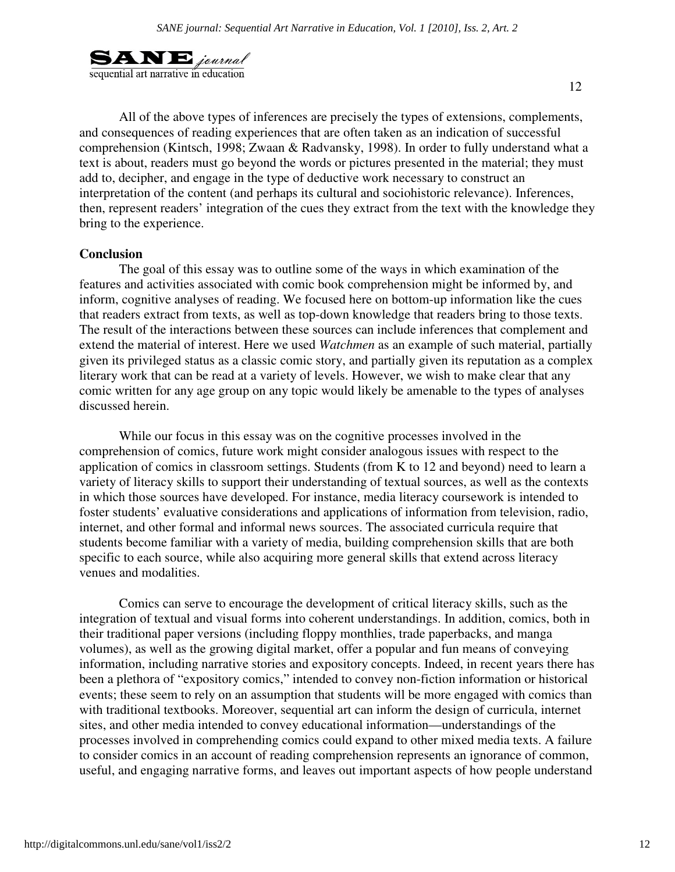

 All of the above types of inferences are precisely the types of extensions, complements, and consequences of reading experiences that are often taken as an indication of successful comprehension (Kintsch, 1998; Zwaan & Radvansky, 1998). In order to fully understand what a text is about, readers must go beyond the words or pictures presented in the material; they must add to, decipher, and engage in the type of deductive work necessary to construct an interpretation of the content (and perhaps its cultural and sociohistoric relevance). Inferences, then, represent readers' integration of the cues they extract from the text with the knowledge they bring to the experience.

#### **Conclusion**

 The goal of this essay was to outline some of the ways in which examination of the features and activities associated with comic book comprehension might be informed by, and inform, cognitive analyses of reading. We focused here on bottom-up information like the cues that readers extract from texts, as well as top-down knowledge that readers bring to those texts. The result of the interactions between these sources can include inferences that complement and extend the material of interest. Here we used *Watchmen* as an example of such material, partially given its privileged status as a classic comic story, and partially given its reputation as a complex literary work that can be read at a variety of levels. However, we wish to make clear that any comic written for any age group on any topic would likely be amenable to the types of analyses discussed herein.

While our focus in this essay was on the cognitive processes involved in the comprehension of comics, future work might consider analogous issues with respect to the application of comics in classroom settings. Students (from K to 12 and beyond) need to learn a variety of literacy skills to support their understanding of textual sources, as well as the contexts in which those sources have developed. For instance, media literacy coursework is intended to foster students' evaluative considerations and applications of information from television, radio, internet, and other formal and informal news sources. The associated curricula require that students become familiar with a variety of media, building comprehension skills that are both specific to each source, while also acquiring more general skills that extend across literacy venues and modalities.

Comics can serve to encourage the development of critical literacy skills, such as the integration of textual and visual forms into coherent understandings. In addition, comics, both in their traditional paper versions (including floppy monthlies, trade paperbacks, and manga volumes), as well as the growing digital market, offer a popular and fun means of conveying information, including narrative stories and expository concepts. Indeed, in recent years there has been a plethora of "expository comics," intended to convey non-fiction information or historical events; these seem to rely on an assumption that students will be more engaged with comics than with traditional textbooks. Moreover, sequential art can inform the design of curricula, internet sites, and other media intended to convey educational information—understandings of the processes involved in comprehending comics could expand to other mixed media texts. A failure to consider comics in an account of reading comprehension represents an ignorance of common, useful, and engaging narrative forms, and leaves out important aspects of how people understand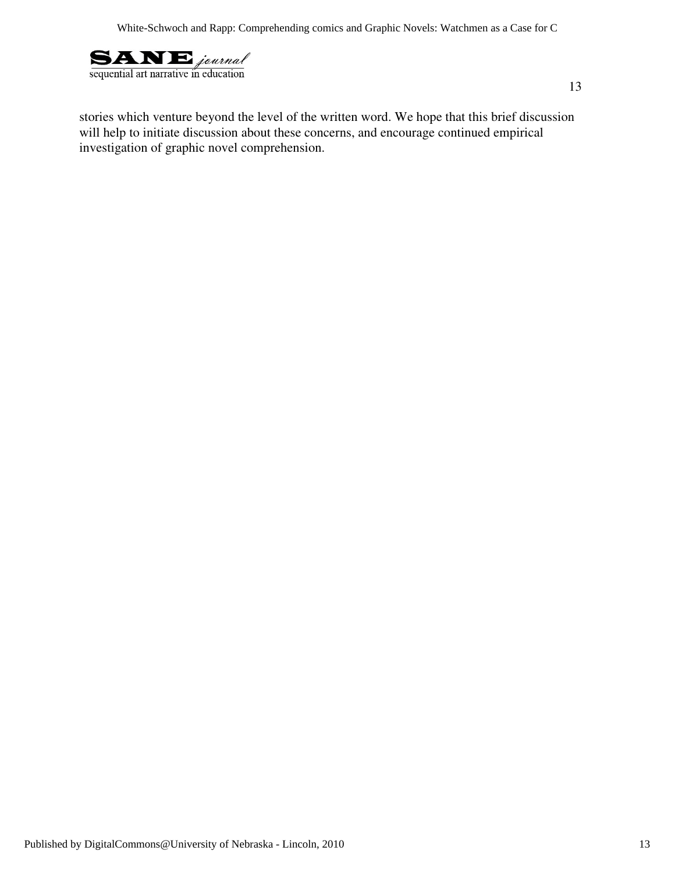

stories which venture beyond the level of the written word. We hope that this brief discussion will help to initiate discussion about these concerns, and encourage continued empirical investigation of graphic novel comprehension.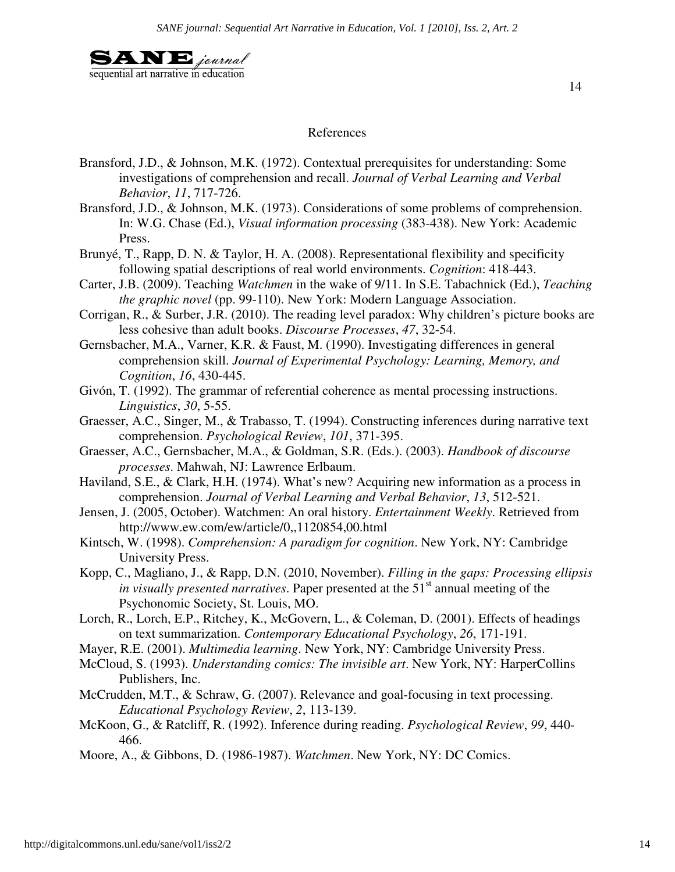

#### References

- Bransford, J.D., & Johnson, M.K. (1972). Contextual prerequisites for understanding: Some investigations of comprehension and recall. *Journal of Verbal Learning and Verbal Behavior*, *11*, 717-726.
- Bransford, J.D., & Johnson, M.K. (1973). Considerations of some problems of comprehension. In: W.G. Chase (Ed.), *Visual information processing* (383-438). New York: Academic Press.
- Brunyé, T., Rapp, D. N. & Taylor, H. A. (2008). Representational flexibility and specificity following spatial descriptions of real world environments. *Cognition*: 418-443.
- Carter, J.B. (2009). Teaching *Watchmen* in the wake of 9/11. In S.E. Tabachnick (Ed.), *Teaching the graphic novel* (pp. 99-110). New York: Modern Language Association.
- Corrigan, R., & Surber, J.R. (2010). The reading level paradox: Why children's picture books are less cohesive than adult books. *Discourse Processes*, *47*, 32-54.
- Gernsbacher, M.A., Varner, K.R. & Faust, M. (1990). Investigating differences in general comprehension skill. *Journal of Experimental Psychology: Learning, Memory, and Cognition*, *16*, 430-445.
- Givón, T. (1992). The grammar of referential coherence as mental processing instructions. *Linguistics*, *30*, 5-55.
- Graesser, A.C., Singer, M., & Trabasso, T. (1994). Constructing inferences during narrative text comprehension. *Psychological Review*, *101*, 371-395.
- Graesser, A.C., Gernsbacher, M.A., & Goldman, S.R. (Eds.). (2003). *Handbook of discourse processes*. Mahwah, NJ: Lawrence Erlbaum.
- Haviland, S.E., & Clark, H.H. (1974). What's new? Acquiring new information as a process in comprehension. *Journal of Verbal Learning and Verbal Behavior*, *13*, 512-521.
- Jensen, J. (2005, October). Watchmen: An oral history. *Entertainment Weekly*. Retrieved from http://www.ew.com/ew/article/0,,1120854,00.html
- Kintsch, W. (1998). *Comprehension: A paradigm for cognition*. New York, NY: Cambridge University Press.
- Kopp, C., Magliano, J., & Rapp, D.N. (2010, November). *Filling in the gaps: Processing ellipsis in visually presented narratives.* Paper presented at the 51<sup>st</sup> annual meeting of the Psychonomic Society, St. Louis, MO.
- Lorch, R., Lorch, E.P., Ritchey, K., McGovern, L., & Coleman, D. (2001). Effects of headings on text summarization. *Contemporary Educational Psychology*, *26*, 171-191.
- Mayer, R.E. (2001). *Multimedia learning*. New York, NY: Cambridge University Press.
- McCloud, S. (1993). *Understanding comics: The invisible art*. New York, NY: HarperCollins Publishers, Inc.
- McCrudden, M.T., & Schraw, G. (2007). Relevance and goal-focusing in text processing. *Educational Psychology Review*, *2*, 113-139.
- McKoon, G., & Ratcliff, R. (1992). Inference during reading. *Psychological Review*, *99*, 440- 466.
- Moore, A., & Gibbons, D. (1986-1987). *Watchmen*. New York, NY: DC Comics.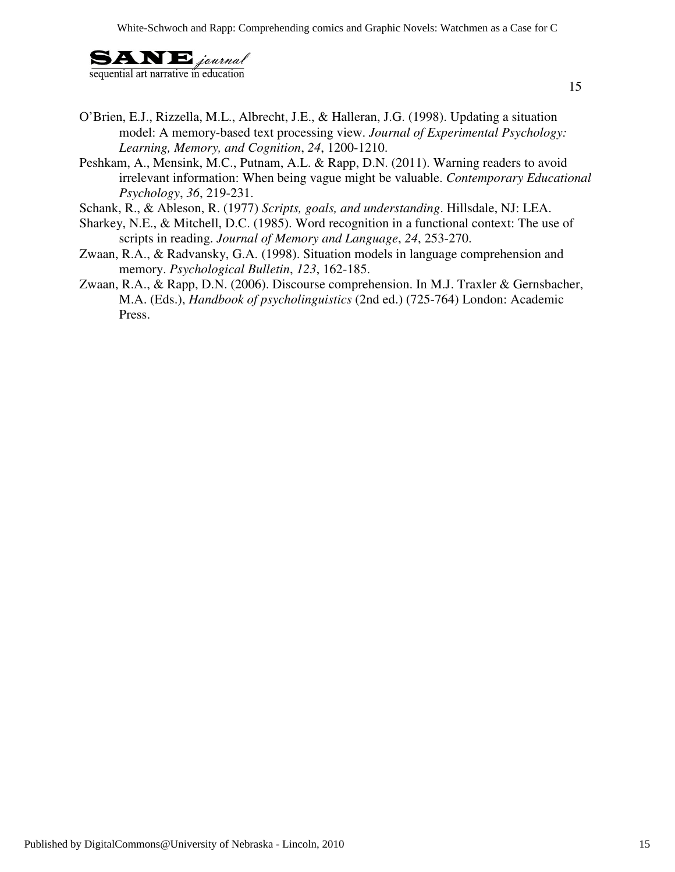

- O'Brien, E.J., Rizzella, M.L., Albrecht, J.E., & Halleran, J.G. (1998). Updating a situation model: A memory-based text processing view. *Journal of Experimental Psychology: Learning, Memory, and Cognition*, *24*, 1200-1210.
- Peshkam, A., Mensink, M.C., Putnam, A.L. & Rapp, D.N. (2011). Warning readers to avoid irrelevant information: When being vague might be valuable. *Contemporary Educational Psychology*, *36*, 219-231.
- Schank, R., & Ableson, R. (1977) *Scripts, goals, and understanding*. Hillsdale, NJ: LEA.
- Sharkey, N.E., & Mitchell, D.C. (1985). Word recognition in a functional context: The use of scripts in reading. *Journal of Memory and Language*, *24*, 253-270.
- Zwaan, R.A., & Radvansky, G.A. (1998). Situation models in language comprehension and memory. *Psychological Bulletin*, *123*, 162-185.
- Zwaan, R.A., & Rapp, D.N. (2006). Discourse comprehension. In M.J. Traxler & Gernsbacher, M.A. (Eds.), *Handbook of psycholinguistics* (2nd ed.) (725-764) London: Academic Press.